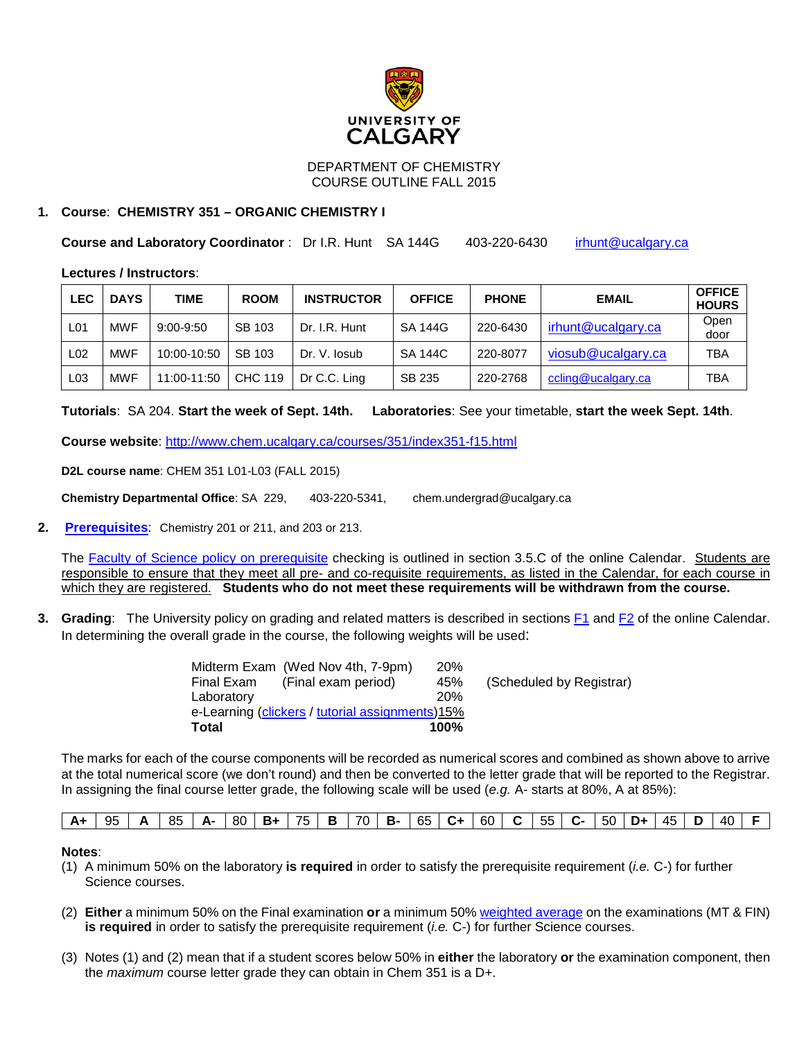

DEPARTMENT OF CHEMISTRY COURSE OUTLINE FALL 2015

# **1. Course**: **CHEMISTRY 351 – ORGANIC CHEMISTRY I**

**Course and Laboratory Coordinator : Dr I.R. Hunt SA 144G 403-220-6430 [irhunt@ucalgary.ca](mailto:irhunt@ucalgary.ca)** 

**Lectures / Instructors**:

| <b>LEC</b>      | <b>DAYS</b> | TIME          | <b>ROOM</b>    | <b>INSTRUCTOR</b> | <b>OFFICE</b>  | <b>PHONE</b> | <b>EMAIL</b>       | <b>OFFICE</b><br><b>HOURS</b> |
|-----------------|-------------|---------------|----------------|-------------------|----------------|--------------|--------------------|-------------------------------|
| L <sub>01</sub> | <b>MWF</b>  | $9:00 - 9:50$ | SB 103         | Dr. I.R. Hunt     | <b>SA 144G</b> | 220-6430     | irhunt@ucalgary.ca | Open<br>door                  |
| L <sub>02</sub> | <b>MWF</b>  | 10:00-10:50   | SB 103         | Dr. V. losub      | SA 144C        | 220-8077     | viosub@ucalgary.ca | TBA                           |
| L <sub>03</sub> | <b>MWF</b>  | 11:00-11:50   | <b>CHC 119</b> | Dr C.C. Ling      | SB 235         | 220-2768     | ccling@ucalgary.ca | TBA                           |

**Tutorials**: SA 204. **Start the week of Sept. 14th. Laboratories**: See your timetable, **start the week Sept. 14th**.

**Course website**:<http://www.chem.ucalgary.ca/courses/351/index351-f15.html>

**D2L course name**: CHEM 351 L01-L03 (FALL 2015)

**Chemistry Departmental Office**: SA 229, 403-220-5341, chem.undergrad@ucalgary.ca

**2. [Prerequisites](http://www.ucalgary.ca/pubs/calendar/current/chemistry.html%236517)**: Chemistry 201 or 211, and 203 or 213.

The [Faculty of Science policy on prerequisite](http://www.ucalgary.ca/pubs/calendar/current/sc-3-5.html) checking is outlined in section 3.5.C of the online Calendar. Students are responsible to ensure that they meet all pre- and co-requisite requirements, as listed in the Calendar, for each course in which they are registered. **Students who do not meet these requirements will be withdrawn from the course.**

**3. Grading**: The University policy on grading and related matters is described in sections [F1](http://www.ucalgary.ca/pubs/calendar/current/f-1.html) and [F2](http://www.ucalgary.ca/pubs/calendar/current/f-2.html) of the online Calendar. In determining the overall grade in the course, the following weights will be used:

|            | Midterm Exam (Wed Nov 4th, 7-9pm)               | <b>20%</b> |                          |
|------------|-------------------------------------------------|------------|--------------------------|
| Final Exam | (Final exam period)                             | 45%        | (Scheduled by Registrar) |
| Laboratory |                                                 | 20%        |                          |
|            | e-Learning (clickers / tutorial assignments)15% |            |                          |
| Total      |                                                 | $100\%$    |                          |
|            |                                                 |            |                          |

The marks for each of the course components will be recorded as numerical scores and combined as shown above to arrive at the total numerical score (we don't round) and then be converted to the letter grade that will be reported to the Registrar. In assigning the final course letter grade, the following scale will be used (*e.g.* A- starts at 80%, A at 85%):

| $ 65 $ C+ $ 60 $<br>70 l<br>$ 55 $ C- $ 50 $<br>85<br>95<br>45<br>$A - 80$<br>D+<br>- 40<br>75 I<br>$A+$<br>$\mathbf{C}$<br>- B<br><b>B</b><br>- B+ |  |
|-----------------------------------------------------------------------------------------------------------------------------------------------------|--|
|-----------------------------------------------------------------------------------------------------------------------------------------------------|--|

#### **Notes**:

- (1) A minimum 50% on the laboratory **is required** in order to satisfy the prerequisite requirement (*i.e.* C-) for further Science courses.
- (2) **Either** a minimum 50% on the Final examination **or** a minimum 50[% weighted average](http://www.chem.ucalgary.ca/courses/350/weighted_average.html) on the examinations (MT & FIN) **is required** in order to satisfy the prerequisite requirement (*i.e.* C-) for further Science courses.
- (3) Notes (1) and (2) mean that if a student scores below 50% in **either** the laboratory **or** the examination component, then the *maximum* course letter grade they can obtain in Chem 351 is a D+.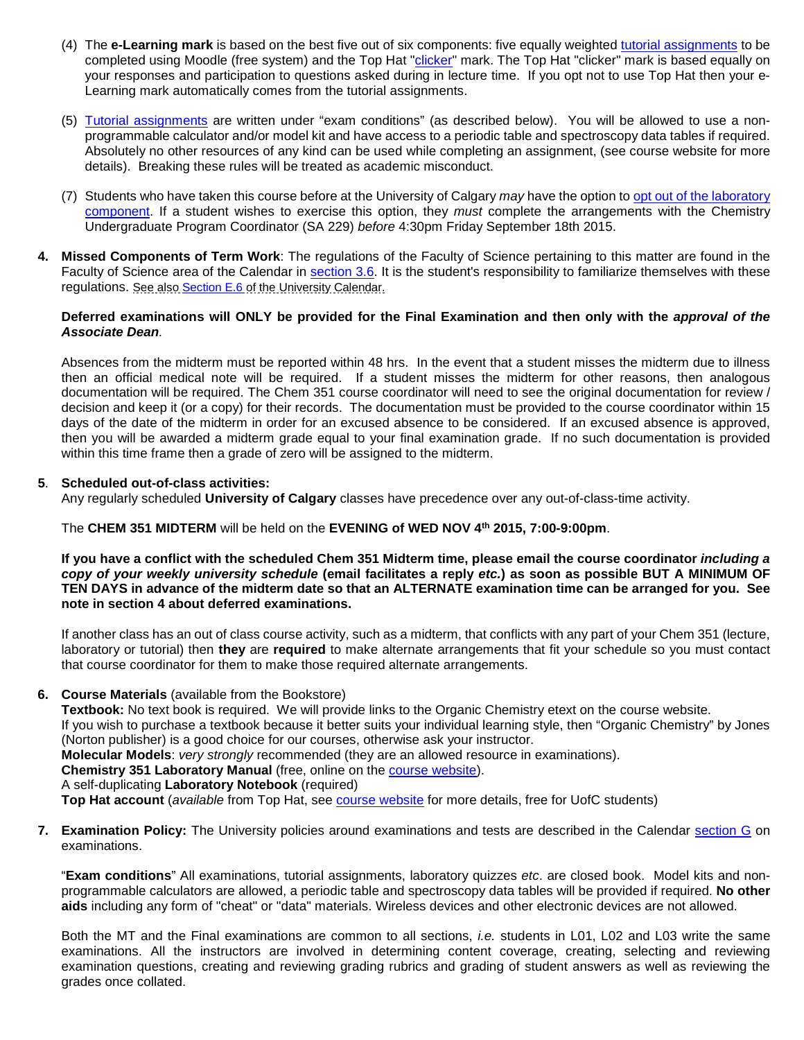- (4) The **e-Learning mark** is based on the best five out of six components: five equally weighted [tutorial assignments](http://www.chem.ucalgary.ca/courses/350/351assignments_F15.html) to be completed using Moodle (free system) and the Top Hat ["clicker"](http://www.chem.ucalgary.ca/courses/351/clickers.html) mark. The Top Hat "clicker" mark is based equally on your responses and participation to questions asked during in lecture time. If you opt not to use Top Hat then your e-Learning mark automatically comes from the tutorial assignments.
- (5) [Tutorial assignments](http://www.chem.ucalgary.ca/courses/350/351assignments_F15.html) are written under "exam conditions" (as described below). You will be allowed to use a nonprogrammable calculator and/or model kit and have access to a periodic table and spectroscopy data tables if required. Absolutely no other resources of any kind can be used while completing an assignment, (see course website for more details). Breaking these rules will be treated as academic misconduct.
- (7) Students who have taken this course before at the University of Calgary *may* have the option t[o opt out of the laboratory](http://www.chem.ucalgary.ca/courses/351/laboratory/labopt.html)  [component.](http://www.chem.ucalgary.ca/courses/351/laboratory/labopt.html) If a student wishes to exercise this option, they *must* complete the arrangements with the Chemistry Undergraduate Program Coordinator (SA 229) *before* 4:30pm Friday September 18th 2015.
- **4. Missed Components of Term Work**: The regulations of the Faculty of Science pertaining to this matter are found in the Faculty of Science area of the Calendar in [section 3.6.](http://www.ucalgary.ca/pubs/calendar/current/sc-3-6.html) It is the student's responsibility to familiarize themselves with these regulations. See also [Section E.6](http://www.ucalgary.ca/pubs/calendar/current/e-3.html) of the University Calendar.

#### **Deferred examinations will ONLY be provided for the Final Examination and then only with the** *approval of the Associate Dean.*

Absences from the midterm must be reported within 48 hrs. In the event that a student misses the midterm due to illness then an official medical note will be required. If a student misses the midterm for other reasons, then analogous documentation will be required. The Chem 351 course coordinator will need to see the original documentation for review / decision and keep it (or a copy) for their records. The documentation must be provided to the course coordinator within 15 days of the date of the midterm in order for an excused absence to be considered. If an excused absence is approved, then you will be awarded a midterm grade equal to your final examination grade. If no such documentation is provided within this time frame then a grade of zero will be assigned to the midterm.

# **5**. **Scheduled out-of-class activities:**

Any regularly scheduled **University of Calgary** classes have precedence over any out-of-class-time activity.

# The **CHEM 351 MIDTERM** will be held on the **EVENING of WED NOV 4th 2015, 7:00-9:00pm**.

**If you have a conflict with the scheduled Chem 351 Midterm time, please email the course coordinator** *including a copy of your weekly university schedule* **(email facilitates a reply** *etc.***) as soon as possible BUT A MINIMUM OF TEN DAYS in advance of the midterm date so that an ALTERNATE examination time can be arranged for you. See note in section 4 about deferred examinations.**

If another class has an out of class course activity, such as a midterm, that conflicts with any part of your Chem 351 (lecture, laboratory or tutorial) then **they** are **required** to make alternate arrangements that fit your schedule so you must contact that course coordinator for them to make those required alternate arrangements.

#### **6. Course Materials** (available from the Bookstore)

**Textbook:** No text book is required. We will provide links to the Organic Chemistry etext on the course website.

If you wish to purchase a textbook because it better suits your individual learning style, then "Organic Chemistry" by Jones (Norton publisher) is a good choice for our courses, otherwise ask your instructor.

**Molecular Models**: *very strongly* recommended (they are an allowed resource in examinations).

**Chemistry 351 Laboratory Manual** (free, online on the [course website\)](http://www.chem.ucalgary.ca/courses/350/index351-f15.html).

# A self-duplicating **Laboratory Notebook** (required)

**Top Hat account** (*available* from Top Hat, see [course website](http://www.chem.ucalgary.ca/courses/350/index351-f15.html) for more details, free for UofC students)

**7. Examination Policy:** The University policies around examinations and tests are described in the Calendar [section G](http://www.ucalgary.ca/pubs/calendar/current/g.html) on examinations.

"**Exam conditions**" All examinations, tutorial assignments, laboratory quizzes *etc*. are closed book. Model kits and nonprogrammable calculators are allowed, a periodic table and spectroscopy data tables will be provided if required. **No other aids** including any form of "cheat" or "data" materials. Wireless devices and other electronic devices are not allowed.

Both the MT and the Final examinations are common to all sections, *i.e.* students in L01, L02 and L03 write the same examinations. All the instructors are involved in determining content coverage, creating, selecting and reviewing examination questions, creating and reviewing grading rubrics and grading of student answers as well as reviewing the grades once collated.